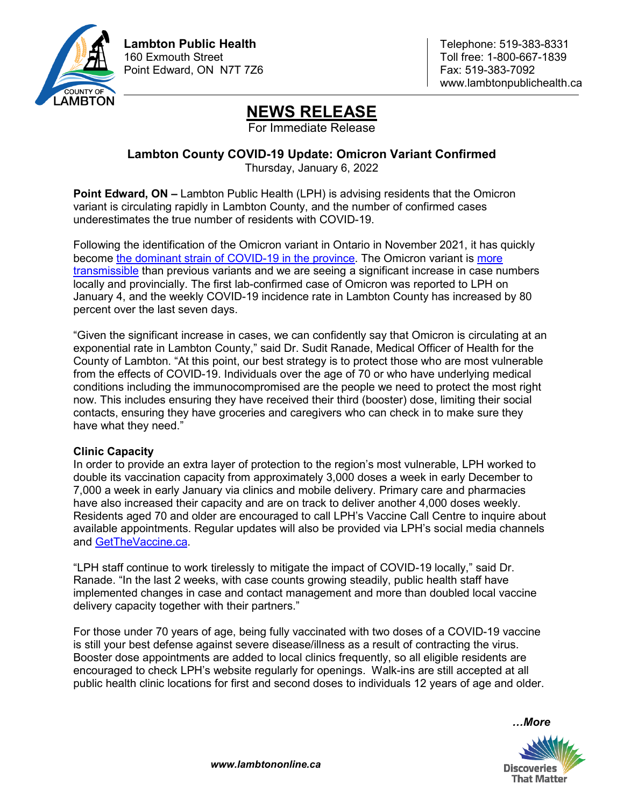

www.lambtonpublichealth.ca

# **NEWS RELEASE**

For Immediate Release

## **Lambton County COVID-19 Update: Omicron Variant Confirmed**

Thursday, January 6, 2022

**Point Edward, ON –** Lambton Public Health (LPH) is advising residents that the Omicron variant is circulating rapidly in Lambton County, and the number of confirmed cases underestimates the true number of residents with COVID-19.

Following the identification of the Omicron variant in Ontario in November 2021, it has quickly become [the dominant strain of COVID-19 in the province.](https://www.publichealthontario.ca/-/media/documents/ncov/epi/covid-19-early-dynamics-omicron-ontario-epi-summary.pdf?sc_lang=en&hash=F51C362A41550816C96AE6DE6907E4FB) The Omicron variant is [more](https://www.publichealthontario.ca/-/media/documents/ncov/epi/covid-19-early-dynamics-omicron-ontario-epi-summary.pdf?sc_lang=en&hash=F51C362A41550816C96AE6DE6907E4FB)  [transmissible](https://www.publichealthontario.ca/-/media/documents/ncov/epi/covid-19-early-dynamics-omicron-ontario-epi-summary.pdf?sc_lang=en&hash=F51C362A41550816C96AE6DE6907E4FB) than previous variants and we are seeing a significant increase in case numbers locally and provincially. The first lab-confirmed case of Omicron was reported to LPH on January 4, and the weekly COVID-19 incidence rate in Lambton County has increased by 80 percent over the last seven days.

"Given the significant increase in cases, we can confidently say that Omicron is circulating at an exponential rate in Lambton County," said Dr. Sudit Ranade, Medical Officer of Health for the County of Lambton. "At this point, our best strategy is to protect those who are most vulnerable from the effects of COVID-19. Individuals over the age of 70 or who have underlying medical conditions including the immunocompromised are the people we need to protect the most right now. This includes ensuring they have received their third (booster) dose, limiting their social contacts, ensuring they have groceries and caregivers who can check in to make sure they have what they need."

### **Clinic Capacity**

In order to provide an extra layer of protection to the region's most vulnerable, LPH worked to double its vaccination capacity from approximately 3,000 doses a week in early December to 7,000 a week in early January via clinics and mobile delivery. Primary care and pharmacies have also increased their capacity and are on track to deliver another 4,000 doses weekly. Residents aged 70 and older are encouraged to call LPH's Vaccine Call Centre to inquire about available appointments. Regular updates will also be provided via LPH's social media channels and [GetTheVaccine.ca.](https://lambtonpublichealth.ca/2019-novel-coronavirus/covid-19-vaccines/)

"LPH staff continue to work tirelessly to mitigate the impact of COVID-19 locally," said Dr. Ranade. "In the last 2 weeks, with case counts growing steadily, public health staff have implemented changes in case and contact management and more than doubled local vaccine delivery capacity together with their partners."

For those under 70 years of age, being fully vaccinated with two doses of a COVID-19 vaccine is still your best defense against severe disease/illness as a result of contracting the virus. Booster dose appointments are added to local clinics frequently, so all eligible residents are encouraged to check LPH's website regularly for openings. Walk-ins are still accepted at all public health clinic locations for first and second doses to individuals 12 years of age and older.

*…More*